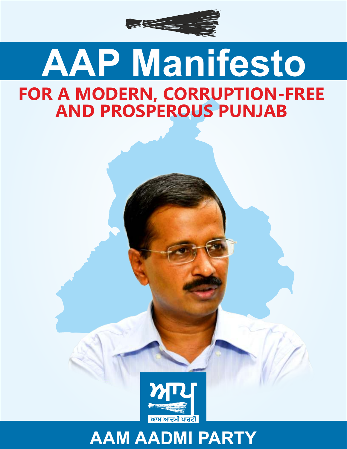

# **AAP Manifesto FOR A MODERN, CORRUPTION-FREE AND PROSPEROUS PUNJAB**



### **AAM AADMI PARTY**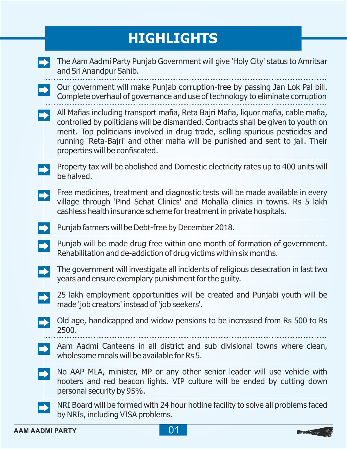### **HIGHLIGHTS**

|  | The Aam Aadmi Party Punjab Government will give 'Holy City' status to Amritsar<br>and Sri Anandpur Sahib.                                                                                                                                                                                                                                                                      |
|--|--------------------------------------------------------------------------------------------------------------------------------------------------------------------------------------------------------------------------------------------------------------------------------------------------------------------------------------------------------------------------------|
|  | Our government will make Punjab corruption-free by passing Jan Lok Pal bill.<br>Complete overhaul of governance and use of technology to eliminate corruption                                                                                                                                                                                                                  |
|  | All Mafias including transport mafia, Reta Bajri Mafia, liquor mafia, cable mafia,<br>controlled by politicians will be dismantled. Contracts shall be given to youth on<br>merit. Top politicians involved in drug trade, selling spurious pesticides and<br>running 'Reta-Bajri' and other mafia will be punished and sent to jail. Their<br>properties will be confiscated. |
|  | Property tax will be abolished and Domestic electricity rates up to 400 units will<br>be halved.                                                                                                                                                                                                                                                                               |
|  | Free medicines, treatment and diagnostic tests will be made available in every<br>village through 'Pind Sehat Clinics' and Mohalla clinics in towns. Rs 5 lakh<br>cashless health insurance scheme for treatment in private hospitals.                                                                                                                                         |
|  | Punjab farmers will be Debt-free by December 2018.                                                                                                                                                                                                                                                                                                                             |
|  | Punjab will be made drug free within one month of formation of government.<br>Rehabilitation and de-addiction of drug victims within six months.                                                                                                                                                                                                                               |
|  | The government will investigate all incidents of religious desecration in last two<br>years and ensure exemplary punishment for the guilty.                                                                                                                                                                                                                                    |
|  | 25 lakh employment opportunities will be created and Punjabi youth will be<br>made 'job creators' instead of 'job seekers'.                                                                                                                                                                                                                                                    |
|  | Old age, handicapped and widow pensions to be increased from Rs 500 to Rs<br>2500.                                                                                                                                                                                                                                                                                             |
|  | Aam Aadmi Canteens in all district and sub divisional towns where clean,<br>wholesome meals will be available for Rs 5.                                                                                                                                                                                                                                                        |
|  | No AAP MLA, minister, MP or any other senior leader will use vehicle with<br>hooters and red beacon lights. VIP culture will be ended by cutting down<br>personal security by 95%.                                                                                                                                                                                             |
|  | NRI Board will be formed with 24 hour hotline facility to solve all problems faced<br>by NRIs, including VISA problems.                                                                                                                                                                                                                                                        |



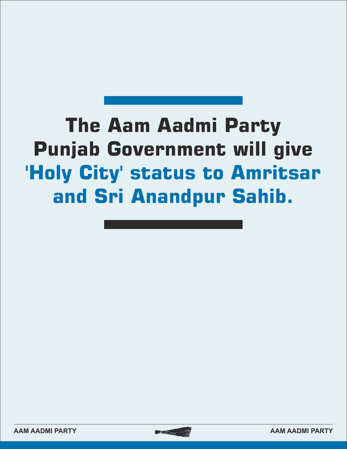## **The Aam Aadmi Party Punjab Government will give 'Holy City' status to Amritsar and Sri Anandpur Sahib.**



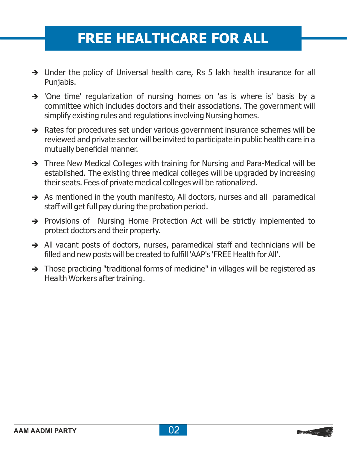### **FREE HEALTHCARE FOR ALL**

- $\rightarrow$  Under the policy of Universal health care, Rs 5 lakh health insurance for all Punjabis.
- $\rightarrow$  'One time' regularization of nursing homes on 'as is where is' basis by a committee which includes doctors and their associations. The government will simplify existing rules and regulations involving Nursing homes.
- $\rightarrow$  Rates for procedures set under various government insurance schemes will be reviewed and private sector will be invited to participate in public health care in a mutually beneficial manner.
- → Three New Medical Colleges with training for Nursing and Para-Medical will be established. The existing three medical colleges will be upgraded by increasing their seats. Fees of private medical colleges will be rationalized.
- $\rightarrow$  As mentioned in the youth manifesto, All doctors, nurses and all paramedical staff will get full pay during the probation period.
- è Provisions of Nursing Home Protection Act will be strictly implemented to protect doctors and their property.
- All vacant posts of doctors, nurses, paramedical staff and technicians will be filled and new posts will be created to fulfill 'AAP's 'FREE Health for All'.
- $\rightarrow$  Those practicing "traditional forms of medicine" in villages will be registered as Health Workers after training.

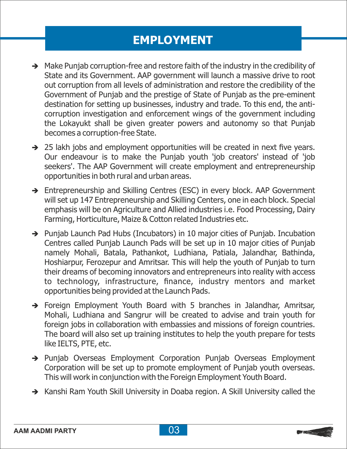### **EMPLOYMENT**

- $\rightarrow$  Make Punjab corruption-free and restore faith of the industry in the credibility of State and its Government. AAP government will launch a massive drive to root out corruption from all levels of administration and restore the credibility of the Government of Punjab and the prestige of State of Punjab as the pre-eminent destination for setting up businesses, industry and trade. To this end, the anticorruption investigation and enforcement wings of the government including the Lokayukt shall be given greater powers and autonomy so that Punjab becomes a corruption-free State.
- $\rightarrow$  25 lakh jobs and employment opportunities will be created in next five years. Our endeavour is to make the Punjab youth 'job creators' instead of 'job seekers'. The AAP Government will create employment and entrepreneurship opportunities in both rural and urban areas.
- $\rightarrow$  Entrepreneurship and Skilling Centres (ESC) in every block. AAP Government will set up 147 Entrepreneurship and Skilling Centers, one in each block. Special emphasis will be on Agriculture and Allied industries i.e. Food Processing, Dairy Farming, Horticulture, Maize & Cotton related Industries etc.
- $\rightarrow$  Punjab Launch Pad Hubs (Incubators) in 10 major cities of Punjab. Incubation Centres called Punjab Launch Pads will be set up in 10 major cities of Punjab namely Mohali, Batala, Pathankot, Ludhiana, Patiala, Jalandhar, Bathinda, Hoshiarpur, Ferozepur and Amritsar. This will help the youth of Punjab to turn their dreams of becoming innovators and entrepreneurs into reality with access to technology, infrastructure, finance, industry mentors and market opportunities being provided at the Launch Pads.
- $\rightarrow$  Foreign Employment Youth Board with 5 branches in Jalandhar, Amritsar, Mohali, Ludhiana and Sangrur will be created to advise and train youth for foreign jobs in collaboration with embassies and missions of foreign countries. The board will also set up training institutes to help the youth prepare for tests like IELTS, PTE, etc.
- è Punjab Overseas Employment Corporation Punjab Overseas Employment Corporation will be set up to promote employment of Punjab youth overseas. This will work in conjunction with the Foreign Employment Youth Board.
- → Kanshi Ram Youth Skill University in Doaba region. A Skill University called the

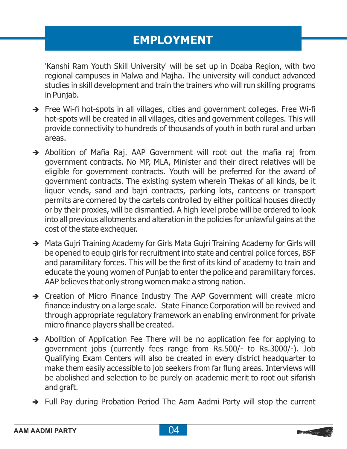### **EMPLOYMENT**

'Kanshi Ram Youth Skill University' will be set up in Doaba Region, with two regional campuses in Malwa and Majha. The university will conduct advanced studies in skill development and train the trainers who will run skilling programs in Punjab.

- $\rightarrow$  Free Wi-fi hot-spots in all villages, cities and government colleges. Free Wi-fi hot-spots will be created in all villages, cities and government colleges. This will provide connectivity to hundreds of thousands of youth in both rural and urban areas.
- $\rightarrow$  Abolition of Mafia Raj. AAP Government will root out the mafia raj from government contracts. No MP, MLA, Minister and their direct relatives will be eligible for government contracts. Youth will be preferred for the award of government contracts. The existing system wherein Thekas of all kinds, be it liquor vends, sand and bajri contracts, parking lots, canteens or transport permits are cornered by the cartels controlled by either political houses directly or by their proxies, will be dismantled. A high level probe will be ordered to look into all previous allotments and alteration in the policies for unlawful gains at the cost of the state exchequer.
- → Mata Gujri Training Academy for Girls Mata Gujri Training Academy for Girls will be opened to equip girls for recruitment into state and central police forces, BSF and paramilitary forces. This will be the first of its kind of academy to train and educate the young women of Punjab to enter the police and paramilitary forces. AAP believes that only strong women make a strong nation.
- $\rightarrow$  Creation of Micro Finance Industry The AAP Government will create micro finance industry on a large scale. State Finance Corporation will be revived and through appropriate regulatory framework an enabling environment for private micro finance players shall be created.
- $\rightarrow$  Abolition of Application Fee There will be no application fee for applying to government jobs (currently fees range from Rs.500/- to Rs.3000/-). Job Qualifying Exam Centers will also be created in every district headquarter to make them easily accessible to job seekers from far flung areas. Interviews will be abolished and selection to be purely on academic merit to root out sifarish and graft.
- $\rightarrow$  Full Pay during Probation Period The Aam Aadmi Party will stop the current

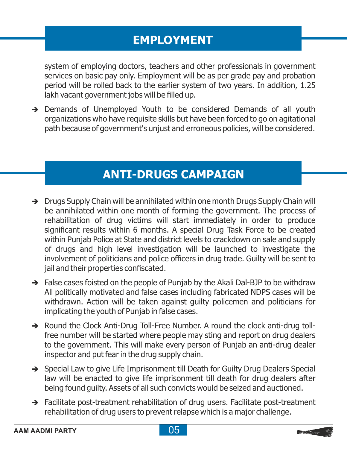### **EMPLOYMENT**

system of employing doctors, teachers and other professionals in government services on basic pay only. Employment will be as per grade pay and probation period will be rolled back to the earlier system of two years. In addition, 1.25 lakh vacant government jobs will be filled up.

 $\rightarrow$  Demands of Unemployed Youth to be considered Demands of all youth organizations who have requisite skills but have been forced to go on agitational path because of government's unjust and erroneous policies, will be considered.

### **ANTI-DRUGS CAMPAIGN**

- $\rightarrow$  Drugs Supply Chain will be annihilated within one month Drugs Supply Chain will be annihilated within one month of forming the government. The process of rehabilitation of drug victims will start immediately in order to produce significant results within 6 months. A special Drug Task Force to be created within Punjab Police at State and district levels to crackdown on sale and supply of drugs and high level investigation will be launched to investigate the involvement of politicians and police officers in drug trade. Guilty will be sent to jail and their properties confiscated.
- $\rightarrow$  False cases foisted on the people of Punjab by the Akali Dal-BJP to be withdraw All politically motivated and false cases including fabricated NDPS cases will be withdrawn. Action will be taken against guilty policemen and politicians for implicating the youth of Punjab in false cases.
- → Round the Clock Anti-Drug Toll-Free Number. A round the clock anti-drug tollfree number will be started where people may sting and report on drug dealers to the government. This will make every person of Punjab an anti-drug dealer inspector and put fear in the drug supply chain.
- → Special Law to give Life Imprisonment till Death for Guilty Drug Dealers Special law will be enacted to give life imprisonment till death for drug dealers after being found guilty. Assets of all such convicts would be seized and auctioned.
- $\rightarrow$  Facilitate post-treatment rehabilitation of drug users. Facilitate post-treatment rehabilitation of drug users to prevent relapse which is a major challenge.

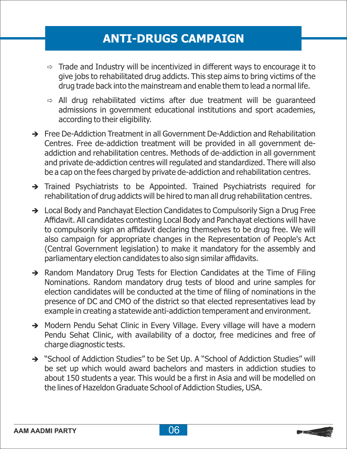#### **ANTI-DRUGS CAMPAIGN**

- $\Rightarrow$  Trade and Industry will be incentivized in different ways to encourage it to give jobs to rehabilitated drug addicts. This step aims to bring victims of the drug trade back into the mainstream and enable them to lead a normal life.
- $\Rightarrow$  All drug rehabilitated victims after due treatment will be guaranteed admissions in government educational institutions and sport academies, according to their eligibility.
- $\rightarrow$  Free De-Addiction Treatment in all Government De-Addiction and Rehabilitation Centres. Free de-addiction treatment will be provided in all government deaddiction and rehabilitation centres. Methods of de-addiction in all government and private de-addiction centres will regulated and standardized. There will also be a cap on the fees charged by private de-addiction and rehabilitation centres.
- è Trained Psychiatrists to be Appointed. Trained Psychiatrists required for rehabilitation of drug addicts will be hired to man all drug rehabilitation centres.
- $\rightarrow$  Local Body and Panchayat Election Candidates to Compulsorily Sign a Drug Free Affidavit. All candidates contesting Local Body and Panchayat elections will have to compulsorily sign an affidavit declaring themselves to be drug free. We will also campaign for appropriate changes in the Representation of People's Act (Central Government legislation) to make it mandatory for the assembly and parliamentary election candidates to also sign similar affidavits.
- Random Mandatory Drug Tests for Election Candidates at the Time of Filing Nominations. Random mandatory drug tests of blood and urine samples for election candidates will be conducted at the time of filing of nominations in the presence of DC and CMO of the district so that elected representatives lead by example in creating a statewide anti-addiction temperament and environment.
- A Modern Pendu Sehat Clinic in Every Village. Every village will have a modern Pendu Sehat Clinic, with availability of a doctor, free medicines and free of charge diagnostic tests.
- → "School of Addiction Studies" to be Set Up. A "School of Addiction Studies" will be set up which would award bachelors and masters in addiction studies to about 150 students a year. This would be a first in Asia and will be modelled on the lines of Hazeldon Graduate School of Addiction Studies, USA.

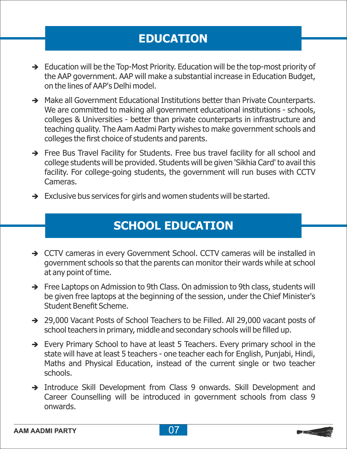### **EDUCATION**

- $\rightarrow$  Education will be the Top-Most Priority. Education will be the top-most priority of the AAP government. AAP will make a substantial increase in Education Budget, on the lines of AAP's Delhi model.
- A Make all Government Educational Institutions better than Private Counterparts. We are committed to making all government educational institutions - schools, colleges & Universities - better than private counterparts in infrastructure and teaching quality. The Aam Aadmi Party wishes to make government schools and colleges the first choice of students and parents.
- Free Bus Travel Facility for Students. Free bus travel facility for all school and college students will be provided. Students will be given 'Sikhia Card' to avail this facility. For college-going students, the government will run buses with CCTV Cameras.
- $\rightarrow$  Exclusive bus services for girls and women students will be started.

### **SCHOOL EDUCATION**

- → CCTV cameras in every Government School. CCTV cameras will be installed in government schools so that the parents can monitor their wards while at school at any point of time.
- → Free Laptops on Admission to 9th Class. On admission to 9th class, students will be given free laptops at the beginning of the session, under the Chief Minister's Student Benefit Scheme.
- → 29,000 Vacant Posts of School Teachers to be Filled. All 29,000 vacant posts of school teachers in primary, middle and secondary schools will be filled up.
- $\rightarrow$  Every Primary School to have at least 5 Teachers. Every primary school in the state will have at least 5 teachers - one teacher each for English, Punjabi, Hindi, Maths and Physical Education, instead of the current single or two teacher schools.
- è Introduce Skill Development from Class 9 onwards. Skill Development and Career Counselling will be introduced in government schools from class 9 onwards.

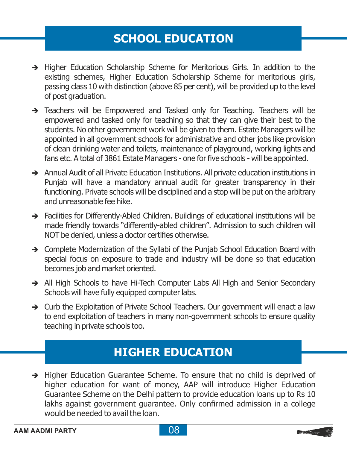#### **SCHOOL EDUCATION**

- è Higher Education Scholarship Scheme for Meritorious Girls. In addition to the existing schemes, Higher Education Scholarship Scheme for meritorious girls, passing class 10 with distinction (above 85 per cent), will be provided up to the level of post graduation.
- $\rightarrow$  Teachers will be Empowered and Tasked only for Teaching. Teachers will be empowered and tasked only for teaching so that they can give their best to the students. No other government work will be given to them. Estate Managers will be appointed in all government schools for administrative and other jobs like provision of clean drinking water and toilets, maintenance of playground, working lights and fans etc. A total of 3861 Estate Managers - one for five schools - will be appointed.
- è Annual Audit of all Private Education Institutions. All private education institutions in Punjab will have a mandatory annual audit for greater transparency in their functioning. Private schools will be disciplined and a stop will be put on the arbitrary and unreasonable fee hike.
- $\rightarrow$  Facilities for Differently-Abled Children. Buildings of educational institutions will be made friendly towards "differently-abled children". Admission to such children will NOT be denied, unless a doctor certifies otherwise.
- Complete Modernization of the Syllabi of the Punjab School Education Board with special focus on exposure to trade and industry will be done so that education becomes job and market oriented.
- All High Schools to have Hi-Tech Computer Labs All High and Senior Secondary Schools will have fully equipped computer labs.
- Curb the Exploitation of Private School Teachers. Our government will enact a law to end exploitation of teachers in many non-government schools to ensure quality teaching in private schools too.

#### **HIGHER EDUCATION**

 $\rightarrow$  Higher Education Guarantee Scheme. To ensure that no child is deprived of higher education for want of money, AAP will introduce Higher Education Guarantee Scheme on the Delhi pattern to provide education loans up to Rs 10 lakhs against government guarantee. Only confirmed admission in a college would be needed to avail the loan.



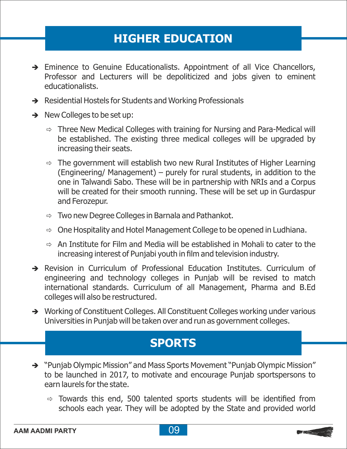### **HIGHER EDUCATION**

- Eminence to Genuine Educationalists. Appointment of all Vice Chancellors, Professor and Lecturers will be depoliticized and jobs given to eminent educationalists.
- $\rightarrow$  Residential Hostels for Students and Working Professionals
- $\rightarrow$  New Colleges to be set up:
	- $\Rightarrow$  Three New Medical Colleges with training for Nursing and Para-Medical will be established. The existing three medical colleges will be upgraded by increasing their seats.
	- $\Rightarrow$  The government will establish two new Rural Institutes of Higher Learning (Engineering/ Management) – purely for rural students, in addition to the one in Talwandi Sabo. These will be in partnership with NRIs and a Corpus will be created for their smooth running. These will be set up in Gurdaspur and Ferozepur.
	- $\Rightarrow$  Two new Degree Colleges in Barnala and Pathankot.
	- $\Rightarrow$  One Hospitality and Hotel Management College to be opened in Ludhiana.
	- $\Rightarrow$  An Institute for Film and Media will be established in Mohali to cater to the increasing interest of Punjabi youth in film and television industry.
- Revision in Curriculum of Professional Education Institutes. Curriculum of engineering and technology colleges in Punjab will be revised to match international standards. Curriculum of all Management, Pharma and B.Ed colleges will also be restructured.
- → Working of Constituent Colleges. All Constituent Colleges working under various Universities in Punjab will be taken over and run as government colleges.

#### **SPORTS**

- → "Punjab Olympic Mission" and Mass Sports Movement "Punjab Olympic Mission" to be launched in 2017, to motivate and encourage Punjab sportspersons to earn laurels for the state.
	- $\Rightarrow$  Towards this end, 500 talented sports students will be identified from schools each year. They will be adopted by the State and provided world

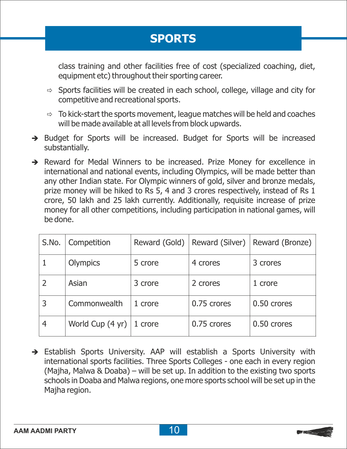### **SPORTS**

class training and other facilities free of cost (specialized coaching, diet, equipment etc) throughout their sporting career.

- $\Rightarrow$  Sports facilities will be created in each school, college, village and city for competitive and recreational sports.
- $\Rightarrow$  To kick-start the sports movement, league matches will be held and coaches will be made available at all levels from block upwards.
- Budget for Sports will be increased. Budget for Sports will be increased substantially.
- Reward for Medal Winners to be increased. Prize Money for excellence in international and national events, including Olympics, will be made better than any other Indian state. For Olympic winners of gold, silver and bronze medals, prize money will be hiked to Rs 5, 4 and 3 crores respectively, instead of Rs 1 crore, 50 lakh and 25 lakh currently. Additionally, requisite increase of prize money for all other competitions, including participation in national games, will be done.

| S.No. | Competition      | Reward (Gold) |             | Reward (Silver)   Reward (Bronze) |
|-------|------------------|---------------|-------------|-----------------------------------|
|       | Olympics         | 5 crore       | 4 crores    | 3 crores                          |
|       | Asian            | 3 crore       | 2 crores    | 1 crore                           |
|       | Commonwealth     | 1 crore       | 0.75 crores | 0.50 crores                       |
| 4     | World Cup (4 yr) | 1 crore       | 0.75 crores | 0.50 crores                       |

è Establish Sports University. AAP will establish a Sports University with international sports facilities. Three Sports Colleges - one each in every region (Majha, Malwa & Doaba) – will be set up. In addition to the existing two sports schools in Doaba and Malwa regions, one more sports school will be set up in the Majha region.

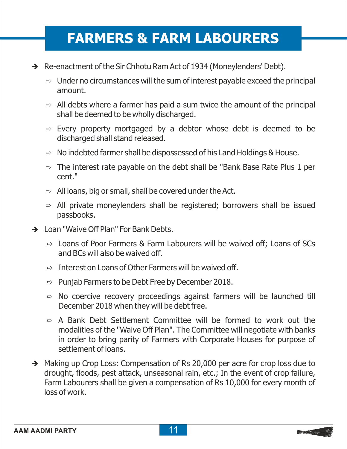- $\rightarrow$  Re-enactment of the Sir Chhotu Ram Act of 1934 (Moneylenders' Debt).
	- $\Rightarrow$  Under no circumstances will the sum of interest payable exceed the principal amount.
	- $\Rightarrow$  All debts where a farmer has paid a sum twice the amount of the principal shall be deemed to be wholly discharged.
	- $\Rightarrow$  Every property mortgaged by a debtor whose debt is deemed to be discharged shall stand released.
	- $\Rightarrow$  No indebted farmer shall be dispossessed of his Land Holdings & House.
	- $\Rightarrow$  The interest rate payable on the debt shall be "Bank Base Rate Plus 1 per cent."
	- $\Rightarrow$  All loans, big or small, shall be covered under the Act.
	- $\Rightarrow$  All private moneylenders shall be registered; borrowers shall be issued passbooks.
- $\rightarrow$  Loan "Waive Off Plan" For Bank Debts.
	- $\Rightarrow$  Loans of Poor Farmers & Farm Labourers will be waived off; Loans of SCs and BCs will also be waived off.
	- $\Rightarrow$  Interest on Loans of Other Farmers will be waived off.
	- $\Rightarrow$  Punjab Farmers to be Debt Free by December 2018.
	- $\Rightarrow$  No coercive recovery proceedings against farmers will be launched till December 2018 when they will be debt free.
	- $\Rightarrow$  A Bank Debt Settlement Committee will be formed to work out the modalities of the "Waive Off Plan". The Committee will negotiate with banks in order to bring parity of Farmers with Corporate Houses for purpose of settlement of loans.
- Making up Crop Loss: Compensation of Rs 20,000 per acre for crop loss due to drought, floods, pest attack, unseasonal rain, etc.; In the event of crop failure, Farm Labourers shall be given a compensation of Rs 10,000 for every month of loss of work.

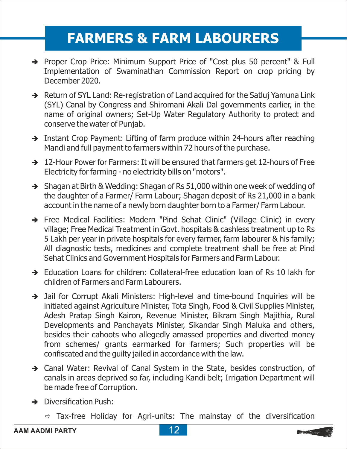- → Proper Crop Price: Minimum Support Price of "Cost plus 50 percent" & Full Implementation of Swaminathan Commission Report on crop pricing by December 2020.
- $\rightarrow$  Return of SYL Land: Re-registration of Land acquired for the Satluj Yamuna Link (SYL) Canal by Congress and Shiromani Akali Dal governments earlier, in the name of original owners; Set-Up Water Regulatory Authority to protect and conserve the water of Punjab.
- $\rightarrow$  Instant Crop Payment: Lifting of farm produce within 24-hours after reaching Mandi and full payment to farmers within 72 hours of the purchase.
- $\rightarrow$  12-Hour Power for Farmers: It will be ensured that farmers get 12-hours of Free Electricity for farming - no electricity bills on "motors".
- $\rightarrow$  Shagan at Birth & Wedding: Shagan of Rs 51,000 within one week of wedding of the daughter of a Farmer/ Farm Labour; Shagan deposit of Rs 21,000 in a bank account in the name of a newly born daughter born to a Farmer/ Farm Labour.
- è Free Medical Facilities: Modern "Pind Sehat Clinic" (Village Clinic) in every village; Free Medical Treatment in Govt. hospitals & cashless treatment up to Rs 5 Lakh per year in private hospitals for every farmer, farm labourer & his family; All diagnostic tests, medicines and complete treatment shall be free at Pind Sehat Clinics and Government Hospitals for Farmers and Farm Labour.
- $\rightarrow$  Education Loans for children: Collateral-free education loan of Rs 10 lakh for children of Farmers and Farm Labourers.
- Jail for Corrupt Akali Ministers: High-level and time-bound Inquiries will be initiated against Agriculture Minister, Tota Singh, Food & Civil Supplies Minister, Adesh Pratap Singh Kairon, Revenue Minister, Bikram Singh Majithia, Rural Developments and Panchayats Minister, Sikandar Singh Maluka and others, besides their cahoots who allegedly amassed properties and diverted money from schemes/ grants earmarked for farmers; Such properties will be confiscated and the guilty jailed in accordance with the law.
- Canal Water: Revival of Canal System in the State, besides construction, of canals in areas deprived so far, including Kandi belt; Irrigation Department will be made free of Corruption.
- $\rightarrow$  Diversification Push:
	- $\Rightarrow$  Tax-free Holiday for Agri-units: The mainstay of the diversification



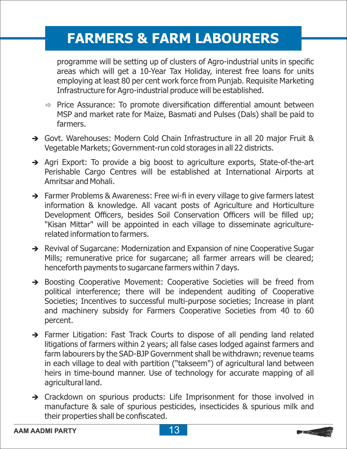programme will be setting up of clusters of Agro-industrial units in specific areas which will get a 10-Year Tax Holiday, interest free loans for units employing at least 80 per cent work force from Punjab. Requisite Marketing Infrastructure for Agro-industrial produce will be established.

- $\Rightarrow$  Price Assurance: To promote diversification differential amount between MSP and market rate for Maize, Basmati and Pulses (Dals) shall be paid to farmers.
- → Govt. Warehouses: Modern Cold Chain Infrastructure in all 20 major Fruit & Vegetable Markets; Government-run cold storages in all 22 districts.
- $\rightarrow$  Agri Export: To provide a big boost to agriculture exports, State-of-the-art Perishable Cargo Centres will be established at International Airports at Amritsar and Mohali.
- → Farmer Problems & Awareness: Free wi-fi in every village to give farmers latest information & knowledge. All vacant posts of Agriculture and Horticulture Development Officers, besides Soil Conservation Officers will be filled up; "Kisan Mittar" will be appointed in each village to disseminate agriculturerelated information to farmers.
- A Revival of Sugarcane: Modernization and Expansion of nine Cooperative Sugar Mills; remunerative price for sugarcane; all farmer arrears will be cleared; henceforth payments to sugarcane farmers within 7 days.
- $\rightarrow$  Boosting Cooperative Movement: Cooperative Societies will be freed from political interference; there will be independent auditing of Cooperative Societies; Incentives to successful multi-purpose societies; Increase in plant and machinery subsidy for Farmers Cooperative Societies from 40 to 60 percent.
- $\rightarrow$  Farmer Litigation: Fast Track Courts to dispose of all pending land related litigations of farmers within 2 years; all false cases lodged against farmers and farm labourers by the SAD-BJP Government shall be withdrawn; revenue teams in each village to deal with partition ("takseem") of agricultural land between heirs in time-bound manner. Use of technology for accurate mapping of all agricultural land.
- $\rightarrow$  Crackdown on spurious products: Life Imprisonment for those involved in manufacture & sale of spurious pesticides, insecticides & spurious milk and their properties shall be confiscated.



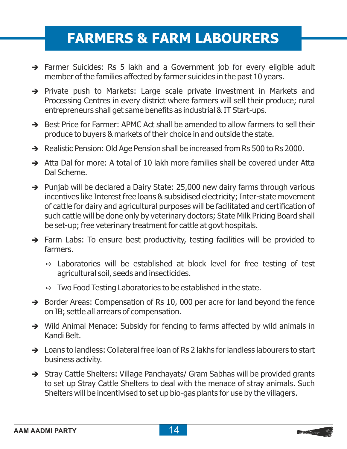- $\rightarrow$  Farmer Suicides: Rs 5 lakh and a Government job for every eligible adult member of the families affected by farmer suicides in the past 10 years.
- è Private push to Markets: Large scale private investment in Markets and Processing Centres in every district where farmers will sell their produce; rural entrepreneurs shall get same benefits as industrial & IT Start-ups.
- $\rightarrow$  Best Price for Farmer: APMC Act shall be amended to allow farmers to sell their produce to buyers & markets of their choice in and outside the state.
- A Realistic Pension: Old Age Pension shall be increased from Rs 500 to Rs 2000.
- $\rightarrow$  Atta Dal for more: A total of 10 lakh more families shall be covered under Atta Dal Scheme.
- $\rightarrow$  Punjab will be declared a Dairy State: 25,000 new dairy farms through various incentives like Interest free loans & subsidised electricity; Inter-state movement of cattle for dairy and agricultural purposes will be facilitated and certification of such cattle will be done only by veterinary doctors; State Milk Pricing Board shall be set-up; free veterinary treatment for cattle at govt hospitals.
- $\rightarrow$  Farm Labs: To ensure best productivity, testing facilities will be provided to farmers.
	- $\Rightarrow$  Laboratories will be established at block level for free testing of test agricultural soil, seeds and insecticides.
	- $\Rightarrow$  Two Food Testing Laboratories to be established in the state.
- $\rightarrow$  Border Areas: Compensation of Rs 10, 000 per acre for land beyond the fence on IB; settle all arrears of compensation.
- $\rightarrow$  Wild Animal Menace: Subsidy for fencing to farms affected by wild animals in Kandi Belt.
- $\rightarrow$  Loans to landless: Collateral free loan of Rs 2 lakhs for landless labourers to start business activity.
- → Stray Cattle Shelters: Village Panchayats/ Gram Sabhas will be provided grants to set up Stray Cattle Shelters to deal with the menace of stray animals. Such Shelters will be incentivised to set up bio-gas plants for use by the villagers.

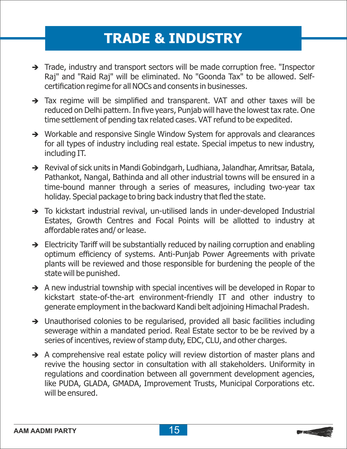### **TRADE & INDUSTRY**

- $\rightarrow$  Trade, industry and transport sectors will be made corruption free. "Inspector Raj" and "Raid Raj" will be eliminated. No "Goonda Tax" to be allowed. Selfcertification regime for all NOCs and consents in businesses.
- $\rightarrow$  Tax regime will be simplified and transparent. VAT and other taxes will be reduced on Delhi pattern. In five years, Punjab will have the lowest tax rate. One time settlement of pending tax related cases. VAT refund to be expedited.
- $\rightarrow$  Workable and responsive Single Window System for approvals and clearances for all types of industry including real estate. Special impetus to new industry, including IT.
- → Revival of sick units in Mandi Gobindgarh, Ludhiana, Jalandhar, Amritsar, Batala, Pathankot, Nangal, Bathinda and all other industrial towns will be ensured in a time-bound manner through a series of measures, including two-year tax holiday. Special package to bring back industry that fled the state.
- $\rightarrow$  To kickstart industrial revival, un-utilised lands in under-developed Industrial Estates, Growth Centres and Focal Points will be allotted to industry at affordable rates and/ or lease.
- $\rightarrow$  Electricity Tariff will be substantially reduced by nailing corruption and enabling optimum efficiency of systems. Anti-Punjab Power Agreements with private plants will be reviewed and those responsible for burdening the people of the state will be punished.
- $\rightarrow$  A new industrial township with special incentives will be developed in Ropar to kickstart state-of-the-art environment-friendly IT and other industry to generate employment in the backward Kandi belt adjoining Himachal Pradesh.
- $\rightarrow$  Unauthorised colonies to be regularised, provided all basic facilities including sewerage within a mandated period. Real Estate sector to be be revived by a series of incentives, review of stamp duty, EDC, CLU, and other charges.
- $\rightarrow$  A comprehensive real estate policy will review distortion of master plans and revive the housing sector in consultation with all stakeholders. Uniformity in regulations and coordination between all government development agencies, like PUDA, GLADA, GMADA, Improvement Trusts, Municipal Corporations etc. will be ensured.

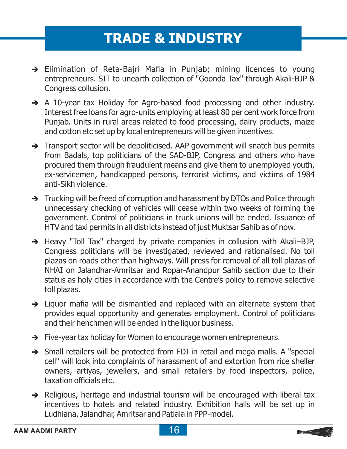### **TRADE & INDUSTRY**

- $\rightarrow$  Elimination of Reta-Bajri Mafia in Punjab; mining licences to young entrepreneurs. SIT to unearth collection of "Goonda Tax" through Akali-BJP & Congress collusion.
- $\rightarrow$  A 10-year tax Holiday for Agro-based food processing and other industry. Interest free loans for agro-units employing at least 80 per cent work force from Punjab. Units in rural areas related to food processing, dairy products, maize and cotton etc set up by local entrepreneurs will be given incentives.
- > Transport sector will be depoliticised. AAP government will snatch bus permits from Badals, top politicians of the SAD-BJP, Congress and others who have procured them through fraudulent means and give them to unemployed youth, ex-servicemen, handicapped persons, terrorist victims, and victims of 1984 anti-Sikh violence.
- $\rightarrow$  Trucking will be freed of corruption and harassment by DTOs and Police through unnecessary checking of vehicles will cease within two weeks of forming the government. Control of politicians in truck unions will be ended. Issuance of HTV and taxi permits in all districts instead of just Muktsar Sahib as of now.
- → Heavy "Toll Tax" charged by private companies in collusion with Akali–BJP, Congress politicians will be investigated, reviewed and rationalised. No toll plazas on roads other than highways. Will press for removal of all toll plazas of NHAI on Jalandhar-Amritsar and Ropar-Anandpur Sahib section due to their status as holy cities in accordance with the Centre's policy to remove selective toll plazas.
- $\rightarrow$  Liquor mafia will be dismantled and replaced with an alternate system that provides equal opportunity and generates employment. Control of politicians and their henchmen will be ended in the liquor business.
- $\rightarrow$  Five-year tax holiday for Women to encourage women entrepreneurs.
- $\rightarrow$  Small retailers will be protected from FDI in retail and mega malls. A "special cell" will look into complaints of harassment of and extortion from rice sheller owners, artiyas, jewellers, and small retailers by food inspectors, police, taxation officials etc.
- $\rightarrow$  Religious, heritage and industrial tourism will be encouraged with liberal tax incentives to hotels and related industry. Exhibition halls will be set up in Ludhiana, Jalandhar, Amritsar and Patiala in PPP-model.

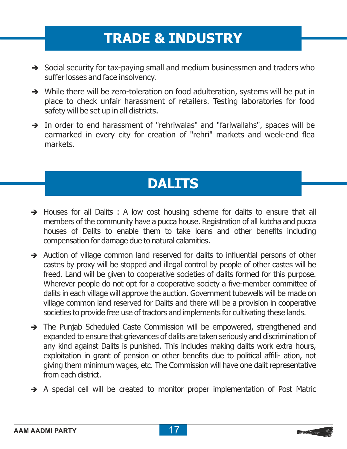### **TRADE & INDUSTRY**

- $\rightarrow$  Social security for tax-paying small and medium businessmen and traders who suffer losses and face insolvency.
- While there will be zero-toleration on food adulteration, systems will be put in place to check unfair harassment of retailers. Testing laboratories for food safety will be set up in all districts.
- $\rightarrow$  In order to end harassment of "rehriwalas" and "fariwallahs", spaces will be earmarked in every city for creation of "rehri" markets and week-end flea markets.

### **DALITS**

- $\rightarrow$  Houses for all Dalits : A low cost housing scheme for dalits to ensure that all members of the community have a pucca house. Registration of all kutcha and pucca houses of Dalits to enable them to take loans and other benefits including compensation for damage due to natural calamities.
- $\rightarrow$  Auction of village common land reserved for dalits to influential persons of other castes by proxy will be stopped and illegal control by people of other castes will be freed. Land will be given to cooperative societies of dalits formed for this purpose. Wherever people do not opt for a cooperative society a five-member committee of dalits in each village will approve the auction. Government tubewells will be made on village common land reserved for Dalits and there will be a provision in cooperative societies to provide free use of tractors and implements for cultivating these lands.
- The Punjab Scheduled Caste Commission will be empowered, strengthened and expanded to ensure that grievances of dalits are taken seriously and discrimination of any kind against Dalits is punished. This includes making dalits work extra hours, exploitation in grant of pension or other benefits due to political affili- ation, not giving them minimum wages, etc. The Commission will have one dalit representative from each district.
- è A special cell will be created to monitor proper implementation of Post Matric

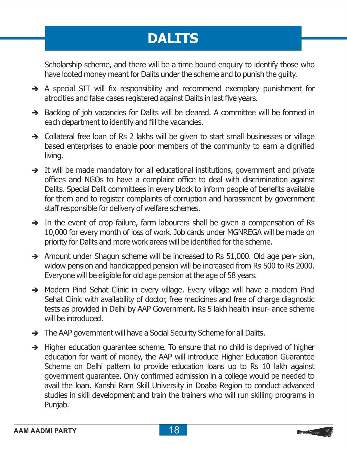### **DALITS**

Scholarship scheme, and there will be a time bound enquiry to identify those who have looted money meant for Dalits under the scheme and to punish the guilty.

- è A special SIT will fix responsibility and recommend exemplary punishment for atrocities and false cases registered against Dalits in last five years.
- $\rightarrow$  Backlog of job vacancies for Dalits will be cleared. A committee will be formed in each department to identify and fill the vacancies.
- $\rightarrow$  Collateral free loan of Rs 2 lakhs will be given to start small businesses or village based enterprises to enable poor members of the community to earn a dignified living.
- $\rightarrow$  It will be made mandatory for all educational institutions, government and private offices and NGOs to have a complaint office to deal with discrimination against Dalits. Special Dalit committees in every block to inform people of benefits available for them and to register complaints of corruption and harassment by government staff responsible for delivery of welfare schemes.
- $\rightarrow$  In the event of crop failure, farm labourers shall be given a compensation of Rs 10,000 for every month of loss of work. Job cards under MGNREGA will be made on priority for Dalits and more work areas will be identified for the scheme.
- $\rightarrow$  Amount under Shagun scheme will be increased to Rs 51,000. Old age pen- sion, widow pension and handicapped pension will be increased from Rs 500 to Rs 2000. Everyone will be eligible for old age pension at the age of 58 years.
- è Modern Pind Sehat Clinic in every village. Every village will have a modern Pind Sehat Clinic with availability of doctor, free medicines and free of charge diagnostic tests as provided in Delhi by AAP Government. Rs 5 lakh health insur- ance scheme will be introduced.
- $\rightarrow$  The AAP government will have a Social Security Scheme for all Dalits.
- $\rightarrow$  Higher education guarantee scheme. To ensure that no child is deprived of higher education for want of money, the AAP will introduce Higher Education Guarantee Scheme on Delhi pattern to provide education loans up to Rs 10 lakh against government guarantee. Only confirmed admission in a college would be needed to avail the loan. Kanshi Ram Skill University in Doaba Region to conduct advanced studies in skill development and train the trainers who will run skilling programs in Punjab.

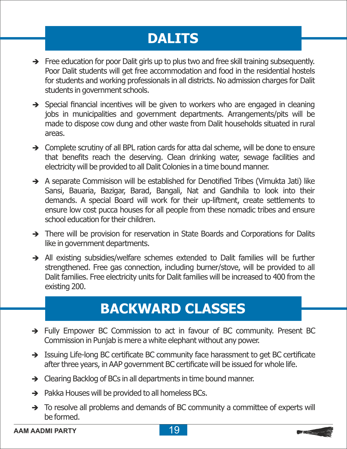### **DALITS**

- $\rightarrow$  Free education for poor Dalit girls up to plus two and free skill training subsequently. Poor Dalit students will get free accommodation and food in the residential hostels for students and working professionals in all districts. No admission charges for Dalit students in government schools.
- $\rightarrow$  Special financial incentives will be given to workers who are engaged in cleaning jobs in municipalities and government departments. Arrangements/pits will be made to dispose cow dung and other waste from Dalit households situated in rural areas.
- $\rightarrow$  Complete scrutiny of all BPL ration cards for atta dal scheme, will be done to ensure that benefits reach the deserving. Clean drinking water, sewage facilities and electricity will be provided to all Dalit Colonies in a time bound manner.
- $\rightarrow$  A separate Commisison will be established for Denotified Tribes (Vimukta Jati) like Sansi, Bauaria, Bazigar, Barad, Bangali, Nat and Gandhila to look into their demands. A special Board will work for their up-liftment, create settlements to ensure low cost pucca houses for all people from these nomadic tribes and ensure school education for their children.
- $\rightarrow$  There will be provision for reservation in State Boards and Corporations for Dalits like in government departments.
- è All existing subsidies/welfare schemes extended to Dalit families will be further strengthened. Free gas connection, including burner/stove, will be provided to all Dalit families. Free electricity units for Dalit families will be increased to 400 from the existing 200.

### **BACKWARD CLASSES**

- è Fully Empower BC Commission to act in favour of BC community. Present BC Commission in Punjab is mere a white elephant without any power.
- $\rightarrow$  Issuing Life-long BC certificate BC community face harassment to get BC certificate after three years, in AAP government BC certificate will be issued for whole life.
- Clearing Backlog of BCs in all departments in time bound manner.
- $\rightarrow$  Pakka Houses will be provided to all homeless BCs.
- $\rightarrow$  To resolve all problems and demands of BC community a committee of experts will be formed.

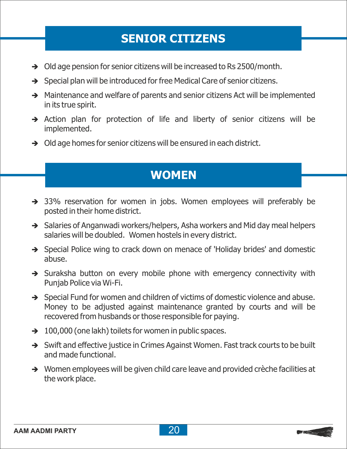### **SENIOR CITIZENS**

- $\rightarrow$  Old age pension for senior citizens will be increased to Rs 2500/month.
- $\rightarrow$  Special plan will be introduced for free Medical Care of senior citizens.
- $\rightarrow$  Maintenance and welfare of parents and senior citizens Act will be implemented in its true spirit.
- $\rightarrow$  Action plan for protection of life and liberty of senior citizens will be implemented.
- $\rightarrow$  Old age homes for senior citizens will be ensured in each district.

### **WOMEN**

- 33% reservation for women in jobs. Women employees will preferably be posted in their home district.
- $\rightarrow$  Salaries of Anganwadi workers/helpers, Asha workers and Mid day meal helpers salaries will be doubled. Women hostels in every district.
- $\rightarrow$  Special Police wing to crack down on menace of 'Holiday brides' and domestic abuse.
- $\rightarrow$  Suraksha button on every mobile phone with emergency connectivity with Punjab Police via Wi-Fi.
- $\rightarrow$  Special Fund for women and children of victims of domestic violence and abuse. Money to be adjusted against maintenance granted by courts and will be recovered from husbands or those responsible for paying.
- $\rightarrow$  100,000 (one lakh) toilets for women in public spaces.
- $\rightarrow$  Swift and effective justice in Crimes Against Women. Fast track courts to be built and made functional.
- $\rightarrow$  Women employees will be given child care leave and provided crèche facilities at the work place.

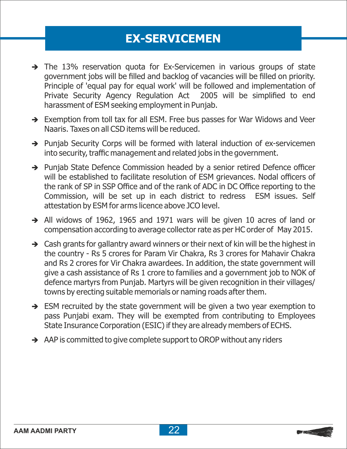### **EX-SERVICEMEN**

- $\rightarrow$  The 13% reservation quota for Ex-Servicemen in various groups of state government jobs will be filled and backlog of vacancies will be filled on priority. Principle of 'equal pay for equal work' will be followed and implementation of Private Security Agency Regulation Act 2005 will be simplified to end harassment of ESM seeking employment in Punjab.
- $\rightarrow$  Exemption from toll tax for all ESM. Free bus passes for War Widows and Veer Naaris. Taxes on all CSD items will be reduced.
- $\rightarrow$  Punjab Security Corps will be formed with lateral induction of ex-servicemen into security, traffic management and related jobs in the government.
- Punjab State Defence Commission headed by a senior retired Defence officer will be established to facilitate resolution of ESM grievances. Nodal officers of the rank of SP in SSP Office and of the rank of ADC in DC Office reporting to the Commission, will be set up in each district to redress ESM issues. Self attestation by ESM for arms licence above JCO level.
- $\rightarrow$  All widows of 1962, 1965 and 1971 wars will be given 10 acres of land or compensation according to average collector rate as per HC order of May 2015.
- $\rightarrow$  Cash grants for gallantry award winners or their next of kin will be the highest in the country - Rs 5 crores for Param Vir Chakra, Rs 3 crores for Mahavir Chakra and Rs 2 crores for Vir Chakra awardees. In addition, the state government will give a cash assistance of Rs 1 crore to families and a government job to NOK of defence martyrs from Punjab. Martyrs will be given recognition in their villages/ towns by erecting suitable memorials or naming roads after them.
- $\rightarrow$  ESM recruited by the state government will be given a two year exemption to pass Punjabi exam. They will be exempted from contributing to Employees State Insurance Corporation (ESIC) if they are already members of ECHS.
- $\rightarrow$  AAP is committed to give complete support to OROP without any riders

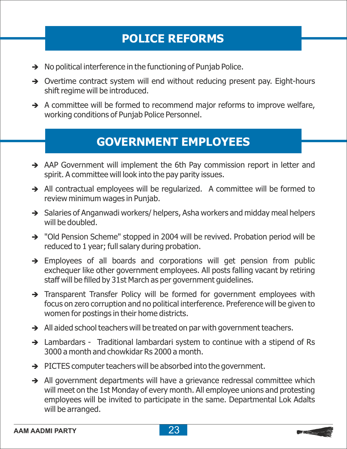### **POLICE REFORMS**

- $\rightarrow$  No political interference in the functioning of Punjab Police.
- $\rightarrow$  Overtime contract system will end without reducing present pay. Eight-hours shift regime will be introduced.
- $\rightarrow$  A committee will be formed to recommend major reforms to improve welfare, working conditions of Punjab Police Personnel.

#### **GOVERNMENT EMPLOYEES**

- $\rightarrow$  AAP Government will implement the 6th Pay commission report in letter and spirit. A committee will look into the pay parity issues.
- $\rightarrow$  All contractual employees will be regularized. A committee will be formed to review minimum wages in Punjab.
- $\rightarrow$  Salaries of Anganwadi workers/ helpers, Asha workers and midday meal helpers will be doubled.
- "Old Pension Scheme" stopped in 2004 will be revived. Probation period will be reduced to 1 year; full salary during probation.
- $\rightarrow$  Employees of all boards and corporations will get pension from public exchequer like other government employees. All posts falling vacant by retiring staff will be filled by 31st March as per government guidelines.
- Transparent Transfer Policy will be formed for government employees with focus on zero corruption and no political interference. Preference will be given to women for postings in their home districts.
- $\rightarrow$  All aided school teachers will be treated on par with government teachers.
- $\rightarrow$  Lambardars Traditional lambardari system to continue with a stipend of Rs 3000 a month and chowkidar Rs 2000 a month.
- $\rightarrow$  PICTES computer teachers will be absorbed into the government.
- $\rightarrow$  All government departments will have a grievance redressal committee which will meet on the 1st Monday of every month. All employee unions and protesting employees will be invited to participate in the same. Departmental Lok Adalts will be arranged.

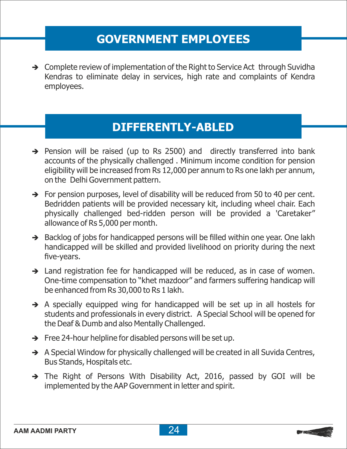### **GOVERNMENT EMPLOYEES**

 $\rightarrow$  Complete review of implementation of the Right to Service Act through Suvidha Kendras to eliminate delay in services, high rate and complaints of Kendra employees.

### **DIFFERENTLY-ABLED**

- $\rightarrow$  Pension will be raised (up to Rs 2500) and directly transferred into bank accounts of the physically challenged . Minimum income condition for pension eligibility will be increased from Rs 12,000 per annum to Rs one lakh per annum, on the Delhi Government pattern.
- $\rightarrow$  For pension purposes, level of disability will be reduced from 50 to 40 per cent. Bedridden patients will be provided necessary kit, including wheel chair. Each physically challenged bed-ridden person will be provided a 'Caretaker" allowance of Rs 5,000 per month.
- $\rightarrow$  Backlog of jobs for handicapped persons will be filled within one year. One lakh handicapped will be skilled and provided livelihood on priority during the next five-years.
- $\rightarrow$  Land registration fee for handicapped will be reduced, as in case of women. One-time compensation to "khet mazdoor" and farmers suffering handicap will be enhanced from Rs 30,000 to Rs 1 lakh.
- $\rightarrow$  A specially equipped wing for handicapped will be set up in all hostels for students and professionals in every district. A Special School will be opened for the Deaf & Dumb and also Mentally Challenged.
- $\rightarrow$  Free 24-hour helpline for disabled persons will be set up.
- $\rightarrow$  A Special Window for physically challenged will be created in all Suvida Centres, Bus Stands, Hospitals etc.
- è The Right of Persons With Disability Act, 2016, passed by GOI will be implemented by the AAP Government in letter and spirit.

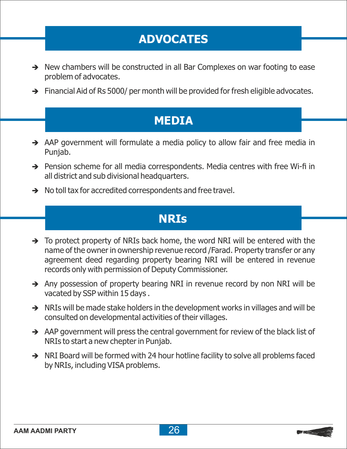### **ADVOCATES**

- $\rightarrow$  New chambers will be constructed in all Bar Complexes on war footing to ease problem of advocates.
- $\rightarrow$  Financial Aid of Rs 5000/ per month will be provided for fresh eligible advocates.

#### **MEDIA**

- $\rightarrow$  AAP government will formulate a media policy to allow fair and free media in Punjab.
- $\rightarrow$  Pension scheme for all media correspondents. Media centres with free Wi-fi in all district and sub divisional headquarters.
- $\rightarrow$  No toll tax for accredited correspondents and free travel.

#### **NRIs**

- $\rightarrow$  To protect property of NRIs back home, the word NRI will be entered with the name of the owner in ownership revenue record /Farad. Property transfer or any agreement deed regarding property bearing NRI will be entered in revenue records only with permission of Deputy Commissioner.
- $\rightarrow$  Any possession of property bearing NRI in revenue record by non NRI will be vacated by SSP within 15 days .
- $\rightarrow$  NRIs will be made stake holders in the development works in villages and will be consulted on developmental activities of their villages.
- $\rightarrow$  AAP government will press the central government for review of the black list of NRIs to start a new chepter in Punjab.
- $\rightarrow$  NRI Board will be formed with 24 hour hotline facility to solve all problems faced by NRIs, including VISA problems.

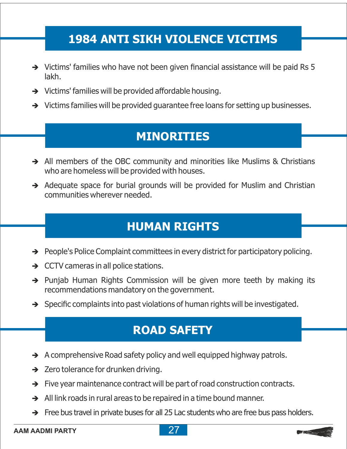### **1984 ANTI SIKH VIOLENCE VICTIMS**

- $\rightarrow$  Victims' families who have not been given financial assistance will be paid Rs 5 lakh.
- $\rightarrow$  Victims' families will be provided affordable housing.
- $\rightarrow$  Victims families will be provided guarantee free loans for setting up businesses.

### **MINORITIES**

- All members of the OBC community and minorities like Muslims & Christians who are homeless will be provided with houses.
- $\rightarrow$  Adequate space for burial grounds will be provided for Muslim and Christian communities wherever needed.

### **HUMAN RIGHTS**

- $\rightarrow$  People's Police Complaint committees in every district for participatory policing.
- $\rightarrow$  CCTV cameras in all police stations.
- $\rightarrow$  Punjab Human Rights Commission will be given more teeth by making its recommendations mandatory on the government.
- $\rightarrow$  Specific complaints into past violations of human rights will be investigated.

### **ROAD SAFETY**

- $\rightarrow$  A comprehensive Road safety policy and well equipped highway patrols.
- $\rightarrow$  Zero tolerance for drunken driving.
- $\rightarrow$  Five year maintenance contract will be part of road construction contracts.
- $\rightarrow$  All link roads in rural areas to be repaired in a time bound manner.
- $\rightarrow$  Free bus travel in private buses for all 25 Lac students who are free bus pass holders.



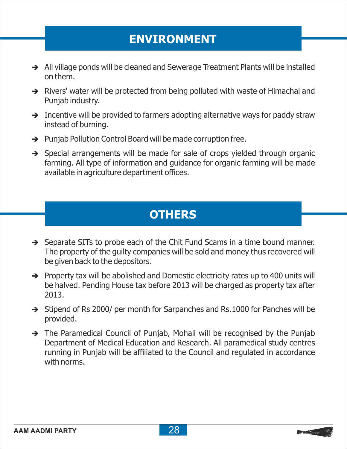### **ENVIRONMENT**

- $\rightarrow$  All village ponds will be cleaned and Sewerage Treatment Plants will be installed on them.
- $\rightarrow$  Rivers' water will be protected from being polluted with waste of Himachal and Punjab industry.
- $\rightarrow$  Incentive will be provided to farmers adopting alternative ways for paddy straw instead of burning.
- $\rightarrow$  Punjab Pollution Control Board will be made corruption free.
- $\rightarrow$  Special arrangements will be made for sale of crops yielded through organic farming. All type of information and guidance for organic farming will be made available in agriculture department offices.

### **OTHERS**

- $\rightarrow$  Separate SITs to probe each of the Chit Fund Scams in a time bound manner. The property of the guilty companies will be sold and money thus recovered will be given back to the depositors.
- $\rightarrow$  Property tax will be abolished and Domestic electricity rates up to 400 units will be halved. Pending House tax before 2013 will be charged as property tax after 2013.
- $\rightarrow$  Stipend of Rs 2000/ per month for Sarpanches and Rs.1000 for Panches will be provided.
- $\rightarrow$  The Paramedical Council of Punjab, Mohali will be recognised by the Punjab Department of Medical Education and Research. All paramedical study centres running in Punjab will be affiliated to the Council and regulated in accordance with norms.